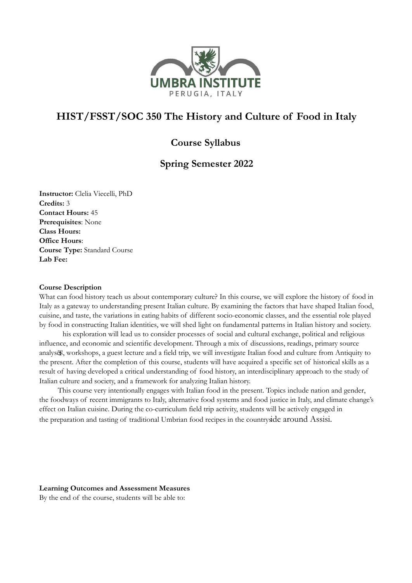

# **HIST/FSST/SOC 350 The History and Culture of Food in Italy**

## **Course Syllabus**

## **Spring Semester 2022**

**Instructor:** Clelia Viecelli, PhD **Credits:** 3 **Contact Hours:** 45 **Prerequisites**: None **Class Hours: Office Hours**: **Course Type:** Standard Course **Lab Fee:**

## **Course Description**

What can food history teach us about contemporary culture? In this course, we will explore the history of food in Italy as a gateway to understanding present Italian culture. By examining the factors that have shaped Italian food, cuisine, and taste, the variations in eating habits of different socio-economic classes, and the essential role played by food in constructing Italian identities, we will shed light on fundamental patterns in Italian history and society.

analys&, workshops, a guest lecture and a field trip, we will investigate Italian food and culture from Antiquity to his exploration will lead us to consider processes of social and cultural exchange, political and religious influence, and economic and scientific development. Through a mix of discussions, readings, primary source the present. After the completion of this course, students will have acquired a specific set of historical skills as a result of having developed a critical understanding of food history, an interdisciplinary approach to the study of Italian culture and society, and a framework for analyzing Italian history.

This course very intentionally engages with Italian food in the present. Topics include nation and gender, the foodways of recent immigrants to Italy, alternative food systems and food justice in Italy, and climate change's effect on Italian cuisine. During the co-curriculum field trip activity, students will be actively engaged in the preparation and tasting of traditional Umbrian food recipes in the countryside around Assisi.

## **Learning Outcomes and Assessment Measures**

By the end of the course, students will be able to: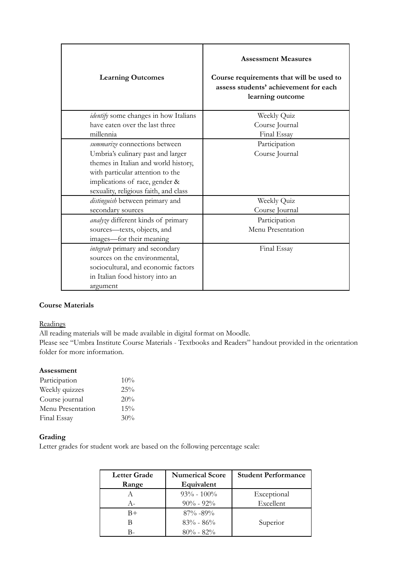| <b>Learning Outcomes</b>                     | <b>Assessment Measures</b><br>Course requirements that will be used to<br>assess students' achievement for each<br>learning outcome |
|----------------------------------------------|-------------------------------------------------------------------------------------------------------------------------------------|
| <i>identify</i> some changes in how Italians | Weekly Quiz                                                                                                                         |
| have eaten over the last three               | Course Journal                                                                                                                      |
| millennia                                    | Final Essay                                                                                                                         |
| summarize connections between                | Participation                                                                                                                       |
| Umbria's culinary past and larger            | Course Journal                                                                                                                      |
| themes in Italian and world history,         |                                                                                                                                     |
| with particular attention to the             |                                                                                                                                     |
| implications of race, gender &               |                                                                                                                                     |
| sexuality, religious faith, and class        |                                                                                                                                     |
| distinguish between primary and              | Weekly Quiz                                                                                                                         |
| secondary sources                            | Course Journal                                                                                                                      |
| analyze different kinds of primary           | Participation                                                                                                                       |
| sources-texts, objects, and                  | Menu Presentation                                                                                                                   |
| images—for their meaning                     |                                                                                                                                     |
| integrate primary and secondary              | Final Essay                                                                                                                         |
| sources on the environmental,                |                                                                                                                                     |
| sociocultural, and economic factors          |                                                                                                                                     |
| in Italian food history into an              |                                                                                                                                     |
| argument                                     |                                                                                                                                     |

## **Course Materials**

## **Readings**

All reading materials will be made available in digital format on Moodle.

Please see "Umbra Institute Course Materials - Textbooks and Readers" handout provided in the orientation folder for more information.

## **Assessment**

| Participation     | 10%    |
|-------------------|--------|
| Weekly quizzes    | $25\%$ |
| Course journal    | 20%    |
| Menu Presentation | 15%    |
| Final Essay       | 30%    |

## **Grading**

Letter grades for student work are based on the following percentage scale:

| <b>Letter Grade</b> | <b>Numerical Score</b> | <b>Student Performance</b> |
|---------------------|------------------------|----------------------------|
| Range               | Equivalent             |                            |
|                     | $93\% - 100\%$         | Exceptional                |
| $A-$                | $90\% - 92\%$          | Excellent                  |
| B+                  | $87\% - 89\%$          |                            |
|                     | $83\% - 86\%$          | Superior                   |
|                     | $80\% - 82\%$          |                            |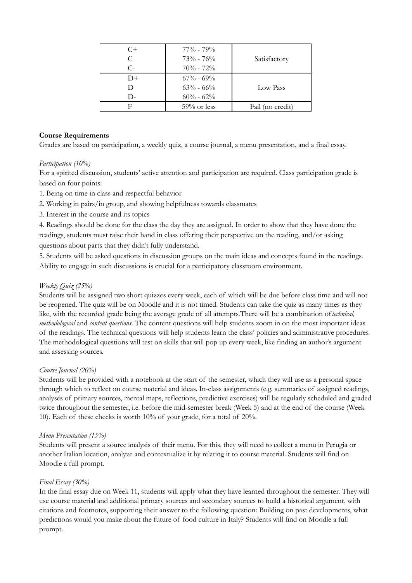| $C+$<br>C.    | $77\%$ - $79\%$<br>$73\% - 76\%$ | Satisfactory     |
|---------------|----------------------------------|------------------|
| $C$ -<br>$D+$ | $70\% - 72\%$<br>$67\% - 69\%$   |                  |
| D-            | $63\% - 66\%$<br>$60\% - 62\%$   | Low Pass         |
| F             | $59\%$ or less                   | Fail (no credit) |

## **Course Requirements**

Grades are based on participation, a weekly quiz, a course journal, a menu presentation, and a final essay.

## *Participation (10%)*

For a spirited discussion, students' active attention and participation are required. Class participation grade is based on four points:

- 1. Being on time in class and respectful behavior
- 2. Working in pairs/in group, and showing helpfulness towards classmates
- 3. Interest in the course and its topics

4. Readings should be done for the class the day they are assigned. In order to show that they have done the readings, students must raise their hand in class offering their perspective on the reading, and/or asking questions about parts that they didn't fully understand.

5. Students will be asked questions in discussion groups on the main ideas and concepts found in the readings. Ability to engage in such discussions is crucial for a participatory classroom environment.

## *Weekly Quiz (25%)*

Students will be assigned two short quizzes every week, each of which will be due before class time and will not be reopened. The quiz will be on Moodle and it is not timed. Students can take the quiz as many times as they like, with the recorded grade being the average grade of all attempts.There will be a combination of*technical, methodological* and *content questions*. The content questions will help students zoom in on the most important ideas of the readings. The technical questions will help students learn the class' policies and administrative procedures. The methodological questions will test on skills that will pop up every week, like finding an author's argument and assessing sources.

## *Course Journal (20%)*

Students will be provided with a notebook at the start of the semester, which they will use as a personal space through which to reflect on course material and ideas. In-class assignments (e.g. summaries of assigned readings, analyses of primary sources, mental maps, reflections, predictive exercises) will be regularly scheduled and graded twice throughout the semester, i.e. before the mid-semester break (Week 5) and at the end of the course (Week 10). Each of these checks is worth 10% of your grade, for a total of 20%.

## *Menu Presentation (15%)*

Students will present a source analysis of their menu. For this, they will need to collect a menu in Perugia or another Italian location, analyze and contextualize it by relating it to course material. Students will find on Moodle a full prompt.

## *Final Essay (30%)*

In the final essay due on Week 11, students will apply what they have learned throughout the semester. They will use course material and additional primary sources and secondary sources to build a historical argument, with citations and footnotes, supporting their answer to the following question: Building on past developments, what predictions would you make about the future of food culture in Italy? Students will find on Moodle a full prompt.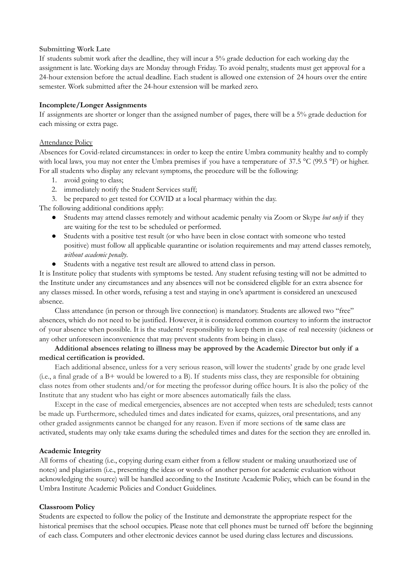#### **Submitting Work Late**

If students submit work after the deadline, they will incur a 5% grade deduction for each working day the assignment is late. Working days are Monday through Friday. To avoid penalty, students must get approval for a 24-hour extension before the actual deadline. Each student is allowed one extension of 24 hours over the entire semester. Work submitted after the 24-hour extension will be marked zero.

#### **Incomplete/Longer Assignments**

If assignments are shorter or longer than the assigned number of pages, there will be a 5% grade deduction for each missing or extra page.

#### Attendance Policy

Absences for Covid-related circumstances: in order to keep the entire Umbra community healthy and to comply with local laws, you may not enter the Umbra premises if you have a temperature of 37.5 °C (99.5 °F) or higher. For all students who display any relevant symptoms, the procedure will be the following:

- 1. avoid going to class;
- 2. immediately notify the Student Services staff;
- 3. be prepared to get tested for COVID at a local pharmacy within the day.

The following additional conditions apply:

- Students may attend classes remotely and without academic penalty via Zoom or Skype *but only* if they are waiting for the test to be scheduled or performed.
- Students with a positive test result (or who have been in close contact with someone who tested positive) must follow all applicable quarantine or isolation requirements and may attend classes remotely, *without academic penalty*.
- Students with a negative test result are allowed to attend class in person.

It is Institute policy that students with symptoms be tested. Any student refusing testing will not be admitted to the Institute under any circumstances and any absences will not be considered eligible for an extra absence for any classes missed. In other words, refusing a test and staying in one's apartment is considered an unexcused absence.

Class attendance (in person or through live connection) is mandatory. Students are allowed two "free" absences, which do not need to be justified. However, it is considered common courtesy to inform the instructor of your absence when possible. It is the students' responsibility to keep them in case of real necessity (sickness or any other unforeseen inconvenience that may prevent students from being in class).

## **Additional absences relating to illness may be approved by the Academic Director but only if a medical certification is provided.**

Each additional absence, unless for a very serious reason, will lower the students' grade by one grade level (i.e., a final grade of a B+ would be lowered to a B). If students miss class, they are responsible for obtaining class notes from other students and/or for meeting the professor during office hours. It is also the policy of the Institute that any student who has eight or more absences automatically fails the class.

Except in the case of medical emergencies, absences are not accepted when tests are scheduled; tests cannot be made up. Furthermore, scheduled times and dates indicated for exams, quizzes, oral presentations, and any other graded assignments cannot be changed for any reason. Even if more sections of the same class are activated, students may only take exams during the scheduled times and dates for the section they are enrolled in.

## **Academic Integrity**

All forms of cheating (i.e., copying during exam either from a fellow student or making unauthorized use of notes) and plagiarism (i.e., presenting the ideas or words of another person for academic evaluation without acknowledging the source) will be handled according to the Institute Academic Policy, which can be found in the Umbra Institute Academic Policies and Conduct Guidelines.

#### **Classroom Policy**

Students are expected to follow the policy of the Institute and demonstrate the appropriate respect for the historical premises that the school occupies. Please note that cell phones must be turned off before the beginning of each class. Computers and other electronic devices cannot be used during class lectures and discussions.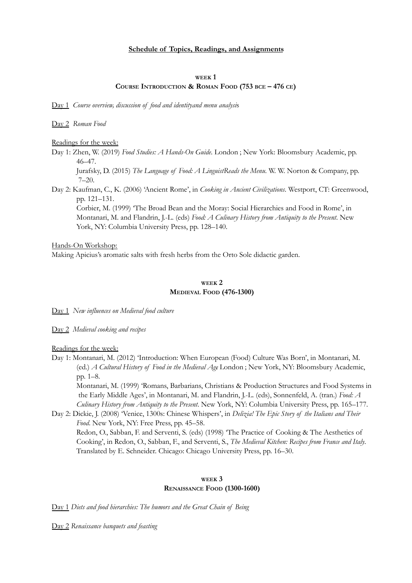#### **Schedule of Topics, Readings, and Assignments**

#### **WEEK 1 COURSE INTRODUCTION & ROMAN FOOD (753 BCE – 476 CE)**

Day 1 *Course overview, discussion of food and identityand menu analysi*s

Day 2 *Roman Food*

Readings for the week:

Day 1: Zhen, W. (2019) *Food Studies: A Hands-On Guide*. London ; New York: Bloomsbury Academic, pp. 46–47.

Jurafsky, D. (2015) *The Language of Food: A LinguistReads the Menu*. W. W. Norton & Company, pp. 7–20.

Day 2: Kaufman, C., K. (2006) 'Ancient Rome', in *Cooking in Ancient Civilizations*. Westport, CT: Greenwood, pp. 121–131.

Corbier, M. (1999) 'The Broad Bean and the Moray: Social Hierarchies and Food in Rome', in Montanari, M. and Flandrin, J.-L. (eds) *Food: A Culinary History from Antiquity to the Present*. New York, NY: Columbia University Press, pp. 128–140.

Hands-On Workshop: Making Apicius's aromatic salts with fresh herbs from the Orto Sole didactic garden.

#### **WEEK 2 MEDIEVAL FOOD (476-1300)**

Day 1 *New influences on Medieval food culture*

Day 2 *Medieval cooking and recipes*

Readings for the week:

Day 1: Montanari, M. (2012) 'Introduction: When European (Food) Culture Was Born', in Montanari, M. (ed.) *A Cultural History of Food in the Medieval Age*. London ; New York, NY: Bloomsbury Academic, pp. 1–8.

Montanari, M. (1999) 'Romans, Barbarians, Christians & Production Structures and Food Systems in the Early Middle Ages', in Montanari, M. and Flandrin, J.-L. (eds), Sonnenfeld, A. (tran.) *Food: A Culinary History from Antiquity to the Present*. New York, NY: Columbia University Press, pp. 165–177.

Day 2: Dickie, J. (2008) 'Venice, 1300s: Chinese Whispers', in *Delizia! The Epic Story of the Italians and Their Food*. New York, NY: Free Press, pp. 45–58.

Redon, O., Sabban, F. and Serventi, S. (eds) (1998) 'The Practice of Cooking & The Aesthetics of Cooking', in Redon, O., Sabban, F., and Serventi, S., *The Medieval Kitchen: Recipes from France and Italy*. Translated by E. Schneider. Chicago: Chicago University Press, pp. 16–30.

### **WEEK 3 RENAISSANCE FOOD (1300-1600)**

Day 1 *Diets and food hierarchies: The humors and the Great Chain of Being*

Day 2 *Renaissance banquets and feasting*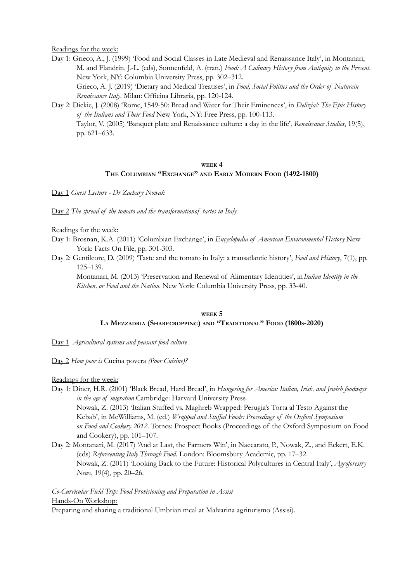#### Readings for the week:

Day 1: Grieco, A., J. (1999) 'Food and Social Classes in Late Medieval and Renaissance Italy', in Montanari, M. and Flandrin, J.-L. (eds), Sonnenfeld, A. (tran.) *Food: A Culinary History from Antiquity to the Present*. New York, NY: Columbia University Press, pp. 302–312. Grieco, A. J. (2019) 'Dietary and Medical Treatises', in *Food, Social Politics and the Order of Naturein Renaissance Italy*. Milan: Officina Libraria, pp. 120-124.

Day 2: Dickie, J. (2008) 'Rome, 1549-50: Bread and Water for Their Eminences', in *Delizia!: The Epic History of the Italians and Their Food*. New York, NY: Free Press, pp. 100-113. Taylor, V. (2005) 'Banquet plate and Renaissance culture: a day in the life', *Renaissance Studies*, 19(5), pp. 621–633.

### **WEEK 4 THE COLUMBIAN "EXCHANGE" AND EARLY MODERN FOOD (1492-1800)**

Day 1 *Guest Lecture - Dr Zachary Nowak*

Day 2 *The spread of the tomato and the transformationof tastes in Italy*

#### Readings for the week:

- Day 1: Brosnan, K.A. (2011) 'Columbian Exchange', in *Encyclopedia of American Environmental History*. New York: Facts On File, pp. 301-303.
- Day 2: Gentilcore, D. (2009) 'Taste and the tomato in Italy: a transatlantic history', *Food and History*, 7(1), pp. 125–139.

Montanari, M. (2013) 'Preservation and Renewal of Alimentary Identities', in*Italian Identity in the Kitchen, or Food and the Nation*. New York: Columbia University Press, pp. 33-40.

## **WEEK 5 LA MEZZADRIA (SHARECROPPING) AND "TRADITIONAL" FOOD (1800S-2020)**

Day 1 *Agricultural systems and peasant food culture*

Day 2 *How poor is* Cucina povera *(Poor Cuisine)?*

Readings for the week:

Day 1: Diner, H.R. (2001) 'Black Bread, Hard Bread', in *Hungering for America: Italian, Irish, and Jewish foodways in the age of migration*. Cambridge: Harvard University Press. Nowak, Z. (2013) 'Italian Stuffed vs. Maghreb Wrapped: Perugia's Torta al Testo Against the Kebab', in McWilliams, M. (ed.) *Wrapped and Stuffed Foods: Proceedings of the Oxford Symposium on Food and Cookery 2012*. Totnes: Prospect Books (Proceedings of the Oxford Symposium on Food and Cookery), pp. 101–107.

Day 2: Montanari, M. (2017) 'And at Last, the Farmers Win', in Naccarato, P., Nowak, Z., and Eckert, E.K. (eds) *Representing Italy Through Food*. London: Bloomsbury Academic, pp. 17–32. Nowak, Z. (2011) 'Looking Back to the Future: Historical Polycultures in Central Italy', *Agroforestry News*, 19(4), pp. 20–26.

## *Co-Curricular Field Trip: Food Provisioning and Preparation in Assisi* Hands-On Workshop:

Preparing and sharing a traditional Umbrian meal at Malvarina agriturismo (Assisi).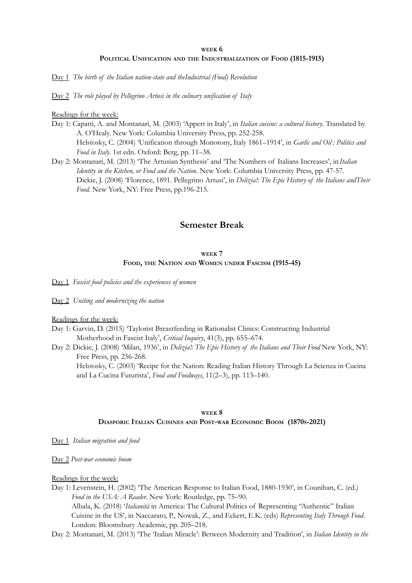## **WEEK 6 POLITICAL UNIFICATION AND THE INDUSTRIALIZATION OF FOOD (1815-1915)**

Day 1 *The birth of the Italian nation-state and theIndustrial (Food) Revolution*

Day 2 *The role played by Pellegrino Artusi in the culinary unification of Italy*

#### Readings for the week:

- Day 1: Capatti, A. and Montanari, M. (2003) 'Appert in Italy', in *Italian cuisine: a cultural history*. Translated by A. O'Healy. New York: Columbia University Press, pp. 252-258. Helstosky, C. (2004) 'Unification through Monotony, Italy 1861–1914', in *Garlic and Oil : Politics and Food in Italy*. 1st edn. Oxford: Berg, pp. 11–38.
- Day 2: Montanari, M. (2013) 'The Artusian Synthesis' and 'The Numbers of Italians Increases', in*Italian Identity in the Kitchen, or Food and the Nation*. New York: Columbia University Press, pp. 47-57. Dickie, J. (2008) 'Florence, 1891. Pellegrino Artusi', in *Delizia!: The Epic History of the Italians andTheir Food*. New York, NY: Free Press, pp.196-215.

## **Semester Break**

#### **WEEK 7**

#### **FOOD, THE NATION AND WOMEN UNDER FASCISM (1915-45)**

Day 1 *Fascist food policies and the experiences of women*

Day 2 *Uniting and modernizing the nation*

Readings for the week:

- Day 1: Garvin, D. (2015) 'Taylorist Breastfeeding in Rationalist Clinics: Constructing Industrial Motherhood in Fascist Italy', *Critical Inquiry*, 41(3), pp. 655–674.
- Day 2: Dickie, J. (2008) 'Milan, 1936', in *Delizia!: The Epic History of the Italians and Their Food*. New York, NY: Free Press, pp. 256-268.

Helstosky, C. (2003) 'Recipe for the Nation: Reading Italian History Through La Scienza in Cucina and La Cucina Futurista', *Food and Foodways*, 11(2–3), pp. 113–140.

## **WEEK 8 DIASPORIC ITALIAN CUISINES AND POST-WAR ECONOMIC BOOM (1870S-2021)**

Day 1 *Italian migration and food*

Day 2 *Post-war economic boom*

Readings for the week:

Day 1: Levenstein, H. (2002) 'The American Response to Italian Food, 1880-1930', in Counihan, C. (ed.) *Food in the USA: A Reader*. New York: Routledge, pp. 75–90. Albala, K. (2018) '*Italianità* in America: The Cultural Politics of Representing "Authentic" Italian Cuisine in the US', in Naccarato, P., Nowak, Z., and Eckert, E.K. (eds) *Representing Italy Through Food*.

London: Bloomsbury Academic, pp. 205–218.

Day 2: Montanari, M. (2013) 'The 'Italian Miracle': Between Modernity and Tradition', in *Italian Identity in the*